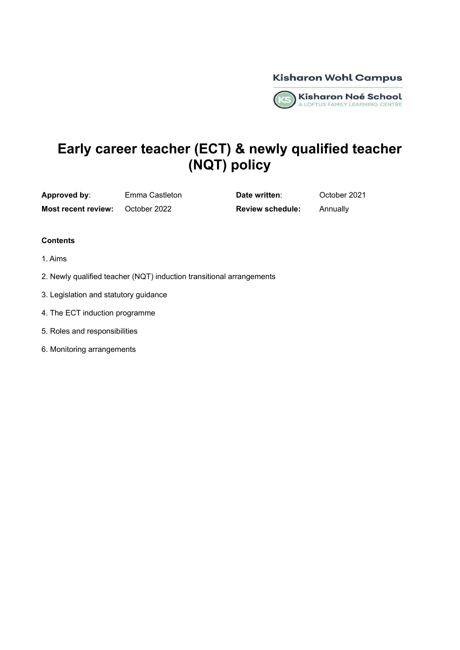**Kisharon Wohl Campus** 



# **Early career teacher (ECT) & newly qualified teacher (NQT) policy**

**Approved by**: Emma Castleton **Date written**: October 2021

**Most recent review:** October 2022 **Review schedule:** Annually

#### **Contents**

- 1. Aims
- 2. Newly qualified teacher (NQT) induction transitional arrangements
- 3. Legislation and statutory guidance
- 4. The ECT induction programme
- 5. Roles and responsibilities
- 6. Monitoring arrangements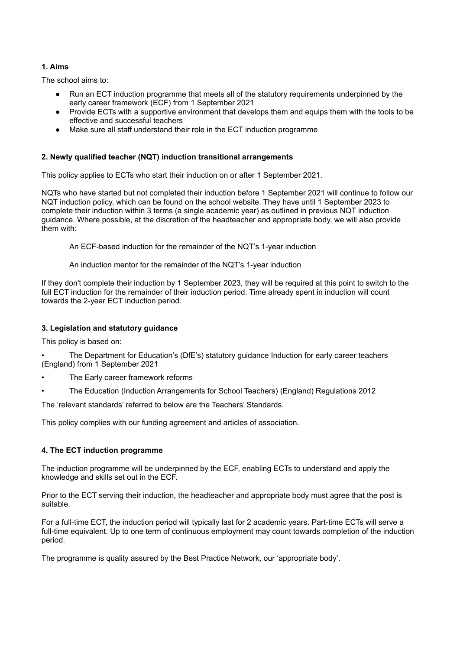# **1. Aims**

The school aims to:

- Run an ECT induction programme that meets all of the statutory requirements underpinned by the early career framework (ECF) from 1 September 2021
- Provide ECTs with a supportive environment that develops them and equips them with the tools to be effective and successful teachers
- Make sure all staff understand their role in the ECT induction programme

## **2. Newly qualified teacher (NQT) induction transitional arrangements**

This policy applies to ECTs who start their induction on or after 1 September 2021.

NQTs who have started but not completed their induction before 1 September 2021 will continue to follow our NQT induction policy, which can be found on the school website. They have until 1 September 2023 to complete their induction within 3 terms (a single academic year) as outlined in previous NQT induction guidance. Where possible, at the discretion of the headteacher and appropriate body, we will also provide them with:

An ECF-based induction for the remainder of the NQT's 1-year induction

An induction mentor for the remainder of the NQT's 1-year induction

If they don't complete their induction by 1 September 2023, they will be required at this point to switch to the full ECT induction for the remainder of their induction period. Time already spent in induction will count towards the 2-year ECT induction period.

## **3. Legislation and statutory guidance**

This policy is based on:

• The Department for Education's (DfE's) statutory guidance Induction for early career teachers (England) from 1 September 2021

- The Early career framework reforms
- The Education (Induction Arrangements for School Teachers) (England) Regulations 2012

The 'relevant standards' referred to below are the Teachers' Standards.

This policy complies with our funding agreement and articles of association.

## **4. The ECT induction programme**

The induction programme will be underpinned by the ECF, enabling ECTs to understand and apply the knowledge and skills set out in the ECF.

Prior to the ECT serving their induction, the headteacher and appropriate body must agree that the post is suitable.

For a full-time ECT, the induction period will typically last for 2 academic years. Part-time ECTs will serve a full-time equivalent. Up to one term of continuous employment may count towards completion of the induction period.

The programme is quality assured by the Best Practice Network, our 'appropriate body'.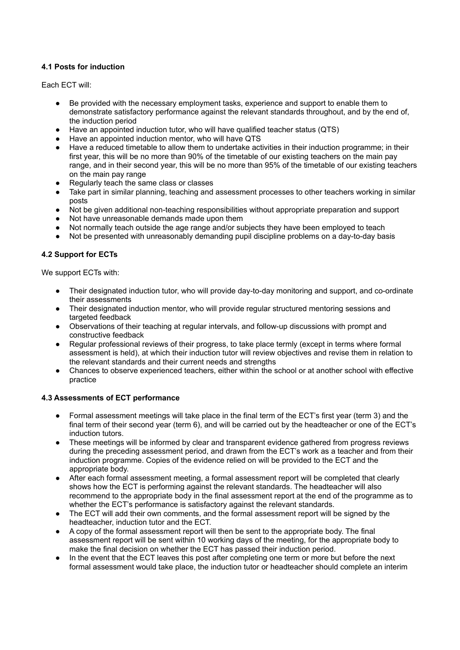# **4.1 Posts for induction**

Each ECT will:

- Be provided with the necessary employment tasks, experience and support to enable them to demonstrate satisfactory performance against the relevant standards throughout, and by the end of, the induction period
- Have an appointed induction tutor, who will have qualified teacher status (QTS)
- Have an appointed induction mentor, who will have QTS
- Have a reduced timetable to allow them to undertake activities in their induction programme; in their first year, this will be no more than 90% of the timetable of our existing teachers on the main pay range, and in their second year, this will be no more than 95% of the timetable of our existing teachers on the main pay range
- Regularly teach the same class or classes
- Take part in similar planning, teaching and assessment processes to other teachers working in similar posts
- Not be given additional non-teaching responsibilities without appropriate preparation and support
- Not have unreasonable demands made upon them
- Not normally teach outside the age range and/or subjects they have been employed to teach
- Not be presented with unreasonably demanding pupil discipline problems on a day-to-day basis

# **4.2 Support for ECTs**

We support ECTs with:

- Their designated induction tutor, who will provide day-to-day monitoring and support, and co-ordinate their assessments
- Their designated induction mentor, who will provide regular structured mentoring sessions and targeted feedback
- Observations of their teaching at regular intervals, and follow-up discussions with prompt and constructive feedback
- Regular professional reviews of their progress, to take place termly (except in terms where formal assessment is held), at which their induction tutor will review objectives and revise them in relation to the relevant standards and their current needs and strengths
- Chances to observe experienced teachers, either within the school or at another school with effective practice

## **4.3 Assessments of ECT performance**

- Formal assessment meetings will take place in the final term of the ECT's first year (term 3) and the final term of their second year (term 6), and will be carried out by the headteacher or one of the ECT's induction tutors.
- These meetings will be informed by clear and transparent evidence gathered from progress reviews during the preceding assessment period, and drawn from the ECT's work as a teacher and from their induction programme. Copies of the evidence relied on will be provided to the ECT and the appropriate body.
- After each formal assessment meeting, a formal assessment report will be completed that clearly shows how the ECT is performing against the relevant standards. The headteacher will also recommend to the appropriate body in the final assessment report at the end of the programme as to whether the ECT's performance is satisfactory against the relevant standards.
- The ECT will add their own comments, and the formal assessment report will be signed by the headteacher, induction tutor and the ECT.
- A copy of the formal assessment report will then be sent to the appropriate body. The final assessment report will be sent within 10 working days of the meeting, for the appropriate body to make the final decision on whether the ECT has passed their induction period.
- In the event that the ECT leaves this post after completing one term or more but before the next formal assessment would take place, the induction tutor or headteacher should complete an interim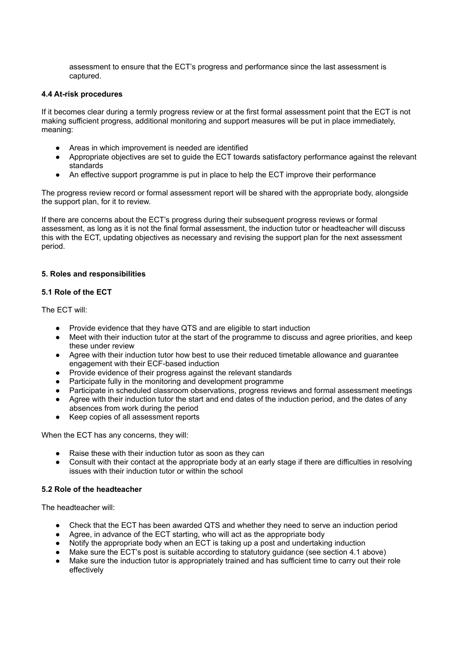assessment to ensure that the ECT's progress and performance since the last assessment is captured.

#### **4.4 At-risk procedures**

If it becomes clear during a termly progress review or at the first formal assessment point that the ECT is not making sufficient progress, additional monitoring and support measures will be put in place immediately, meaning:

- Areas in which improvement is needed are identified
- Appropriate objectives are set to guide the ECT towards satisfactory performance against the relevant standards
- An effective support programme is put in place to help the ECT improve their performance

The progress review record or formal assessment report will be shared with the appropriate body, alongside the support plan, for it to review.

If there are concerns about the ECT's progress during their subsequent progress reviews or formal assessment, as long as it is not the final formal assessment, the induction tutor or headteacher will discuss this with the ECT, updating objectives as necessary and revising the support plan for the next assessment period.

#### **5. Roles and responsibilities**

#### **5.1 Role of the ECT**

The ECT will:

- Provide evidence that they have QTS and are eligible to start induction
- Meet with their induction tutor at the start of the programme to discuss and agree priorities, and keep these under review
- Agree with their induction tutor how best to use their reduced timetable allowance and guarantee engagement with their ECF-based induction
- Provide evidence of their progress against the relevant standards
- Participate fully in the monitoring and development programme
- Participate in scheduled classroom observations, progress reviews and formal assessment meetings
- Agree with their induction tutor the start and end dates of the induction period, and the dates of any absences from work during the period
- Keep copies of all assessment reports

When the ECT has any concerns, they will:

- Raise these with their induction tutor as soon as they can
- Consult with their contact at the appropriate body at an early stage if there are difficulties in resolving issues with their induction tutor or within the school

#### **5.2 Role of the headteacher**

The headteacher will:

- Check that the ECT has been awarded QTS and whether they need to serve an induction period
- Agree, in advance of the ECT starting, who will act as the appropriate body
- Notify the appropriate body when an ECT is taking up a post and undertaking induction
- Make sure the ECT's post is suitable according to statutory guidance (see section 4.1 above)
- Make sure the induction tutor is appropriately trained and has sufficient time to carry out their role effectively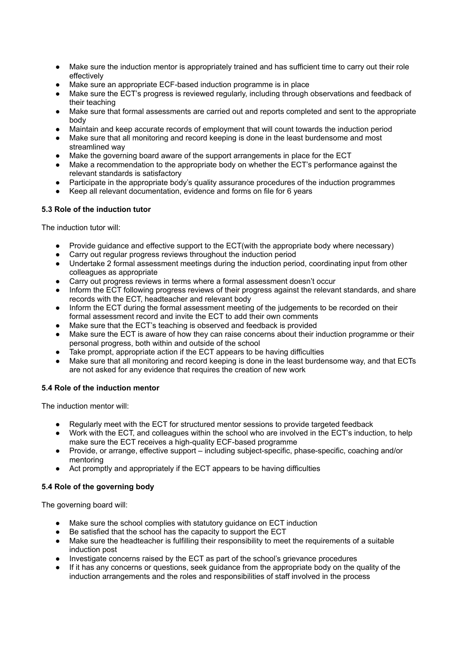- Make sure the induction mentor is appropriately trained and has sufficient time to carry out their role effectively
- Make sure an appropriate ECF-based induction programme is in place
- Make sure the ECT's progress is reviewed regularly, including through observations and feedback of their teaching
- Make sure that formal assessments are carried out and reports completed and sent to the appropriate body
- Maintain and keep accurate records of employment that will count towards the induction period
- Make sure that all monitoring and record keeping is done in the least burdensome and most streamlined way
- Make the governing board aware of the support arrangements in place for the ECT
- Make a recommendation to the appropriate body on whether the ECT's performance against the relevant standards is satisfactory
- Participate in the appropriate body's quality assurance procedures of the induction programmes
- Keep all relevant documentation, evidence and forms on file for 6 years

## **5.3 Role of the induction tutor**

The induction tutor will:

- Provide guidance and effective support to the ECT(with the appropriate body where necessary)
- Carry out regular progress reviews throughout the induction period
- Undertake 2 formal assessment meetings during the induction period, coordinating input from other colleagues as appropriate
- Carry out progress reviews in terms where a formal assessment doesn't occur
- Inform the ECT following progress reviews of their progress against the relevant standards, and share records with the ECT, headteacher and relevant body
- Inform the ECT during the formal assessment meeting of the judgements to be recorded on their formal assessment record and invite the ECT to add their own comments
- Make sure that the ECT's teaching is observed and feedback is provided
- Make sure the ECT is aware of how they can raise concerns about their induction programme or their personal progress, both within and outside of the school
- Take prompt, appropriate action if the ECT appears to be having difficulties
- Make sure that all monitoring and record keeping is done in the least burdensome way, and that ECTs are not asked for any evidence that requires the creation of new work

# **5.4 Role of the induction mentor**

The induction mentor will:

- Regularly meet with the ECT for structured mentor sessions to provide targeted feedback
- Work with the ECT, and colleagues within the school who are involved in the ECT's induction, to help make sure the ECT receives a high-quality ECF-based programme
- Provide, or arrange, effective support including subject-specific, phase-specific, coaching and/or mentoring
- Act promptly and appropriately if the ECT appears to be having difficulties

## **5.4 Role of the governing body**

The governing board will:

- Make sure the school complies with statutory guidance on ECT induction
- Be satisfied that the school has the capacity to support the ECT
- Make sure the headteacher is fulfilling their responsibility to meet the requirements of a suitable induction post
- Investigate concerns raised by the ECT as part of the school's grievance procedures
- If it has any concerns or questions, seek guidance from the appropriate body on the quality of the induction arrangements and the roles and responsibilities of staff involved in the process